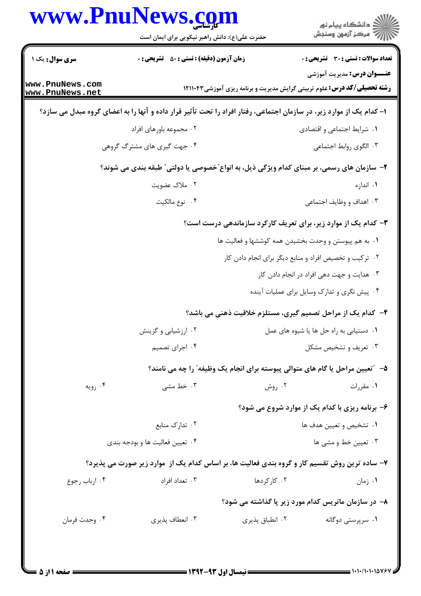|                                    | حضرت علی(ع): دانش راهبر نیکویی برای ایمان است                                                                        |                                                                                 | ڪ دانشڪاه پيا <sub>م</sub> نور<br>۾ سرڪز آزمون وسنڊش |
|------------------------------------|----------------------------------------------------------------------------------------------------------------------|---------------------------------------------------------------------------------|------------------------------------------------------|
| سری سوال: یک ۱                     | <b>زمان آزمون (دقیقه) : تستی : 50 ٪ تشریحی : 0</b>                                                                   |                                                                                 | <b>تعداد سوالات : تستي : 30 ٪ تشريحي : 0</b>         |
| www.PnuNews.com<br>www.PnuNews.net |                                                                                                                      | <b>رشته تحصیلی/کد درس:</b> علوم تربیتی گرایش مدیریت و برنامه ریزی آموزشی1۲۱۱۰۴۳ | <b>عنـــوان درس:</b> مدیریت آموزشی                   |
|                                    | ا– کدام یک از موارد زیر، در سازمان اجتماعی، رفتار افراد را تحت تأثیر قرار داده و آنها را به اعضای گروه مبدل می سازد؟ |                                                                                 |                                                      |
|                                    | ۰۲ مجموعه باورهای افراد                                                                                              |                                                                                 | ۰۱ شرایط اجتماعی و اقتصادی                           |
|                                    | ۰۴ جهت گیری های مشترگ گروهی                                                                                          |                                                                                 | ۰۳ الگوی روابط اجتماعی                               |
|                                    | ۲- سازمان های رسمی، بر مبنای کدام ویژگی ذیل، به انواع ّخصوصی یا دولتی ّ طبقه بندی می شوند؟                           |                                                                                 |                                                      |
|                                    | ۰۲ ملاک عضویت                                                                                                        |                                                                                 | ۰۱ اندازه                                            |
|                                    | ۰۴ نوع مالکیت                                                                                                        |                                                                                 | ۰۳ اهداف و وظایف اجتماعی                             |
|                                    |                                                                                                                      | ۳- کدام یک از موارد زیر، برای تعریف کارکرد سازماندهی درست است؟                  |                                                      |
|                                    |                                                                                                                      | ٠١. به هم پيوستن و وحدت بخشيدن همه كوششها و فعاليت ها                           |                                                      |
|                                    |                                                                                                                      | ۰۲ ترکیب و تخصیص افراد و منابع دیگر برای انجام دادن کار                         |                                                      |
|                                    |                                                                                                                      |                                                                                 | ۰۳ هدایت و جهت دهی افراد در انجام دادن کار           |
|                                    |                                                                                                                      |                                                                                 | ۰۴ پیش نگری و تدارک وسایل برای عملیات آینده          |
|                                    |                                                                                                                      | ۴– کدام یک از مراحل تصمیم گیری، مستلزم خلاقیت ذهنی می باشد؟                     |                                                      |
|                                    | ۰۲ ارزشیابی و گزینش                                                                                                  |                                                                                 | ٠١ دستيابي به راه حل ها يا شيوه هاي عمل              |
|                                    | ۰۴ اجرای تصمیم                                                                                                       |                                                                                 | ۰۳ تعریف و تشخیص مشکل                                |
|                                    |                                                                                                                      | ۵– ″تعیین مراحل یا گام های متوالی پیوسته برای انجام یک وظیفه″ را چه می نامند؟   |                                                      |
| ۰۴ رویه                            | ۰۳ خط مشی                                                                                                            | ۰۲ روش                                                                          | ۰۱ مقررات                                            |
|                                    |                                                                                                                      |                                                                                 | ۶- برنامه ریزی با کدام یک از موارد شروع می شود؟      |
|                                    | ۰۲ تدارک منابع                                                                                                       |                                                                                 | ۰۱ تشخيص و تعيين هدف ها                              |
|                                    | ۰۴ تعیین فعالیت ها و بودجه بندی                                                                                      |                                                                                 | ۰۳ تعیین خط و مشی ها                                 |
|                                    | ۷- ساده ترین روش تقسیم کار و گروه بندی فعالیت ها، بر اساس کدام یک از ًموارد زیر صورت می پذیرد؟                       |                                                                                 |                                                      |
| ۰۴ ارباب رجوع                      | ۰۳ تعداد افراد                                                                                                       | ۰۲ کارگردها                                                                     | ۰۱ زمان                                              |
|                                    |                                                                                                                      | ۸– در سازمان ماتریس کدام مورد زیر پا گذاشته می شود؟                             |                                                      |
| ۰۴ وحدت فرمان                      | ۰۳ انعطاف پذیری                                                                                                      | ۰۲ انطباق پذیری                                                                 | ۰۱ سرپرستی دوگانه                                    |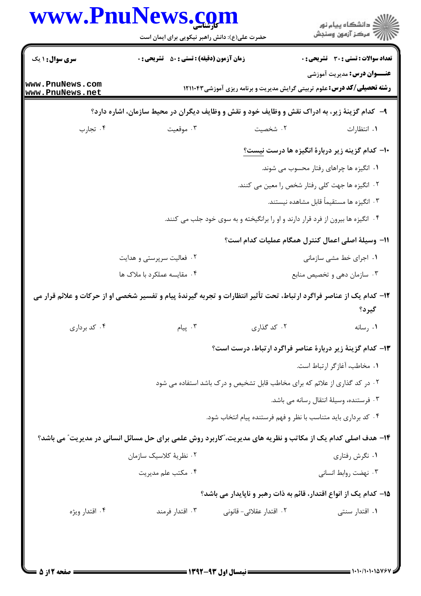|                                    | www.PnuNews.com<br>حضرت علی(ع): دانش راهبر نیکویی برای ایمان است |                                                                                  | ر<br>دانشڪاه پيام نور)<br>ا∛ مرڪز آزمون وسنڊش                                                                         |
|------------------------------------|------------------------------------------------------------------|----------------------------------------------------------------------------------|-----------------------------------------------------------------------------------------------------------------------|
| <b>سری سوال : ۱ یک</b>             | <b>زمان آزمون (دقیقه) : تستی : 50 ٪ تشریحی : 0</b>               |                                                                                  | <b>تعداد سوالات : تستی : 30 ٪ تشریحی : 0</b>                                                                          |
| www.PnuNews.com<br>www.PnuNews.net |                                                                  |                                                                                  | <b>عنـــوان درس:</b> مدیریت آموزشی<br><b>رشته تحصیلی/کد درس:</b> علوم تربیتی گرایش مدیریت و برنامه ریزی آموزشی1۲۱۱۰۴۳ |
|                                    |                                                                  |                                                                                  | ۹- کدام گزینهٔ زیر، به ادراک نقش و وظایف خود و نقش و وظایف دیگران در محیط سازمان، اشاره دارد؟                         |
| ۰۴ تجارب                           | ۰۳ موقعیت                                                        | ۰۲ شخصیت                                                                         | ۰۱ انتظارات                                                                                                           |
|                                    |                                                                  |                                                                                  | +ا– کدام گزینه زیر دربارهٔ انگیزه ها درست نیست <u>؟</u>                                                               |
|                                    |                                                                  |                                                                                  | ۰۱ انگیزه ها چراهای رفتار محسوب می شوند.                                                                              |
|                                    |                                                                  |                                                                                  | ۲. انگیزه ها جهت کلی رفتار شخص را معین می کنند.                                                                       |
|                                    |                                                                  |                                                                                  | ۰۳ انگیزه ها مستقیماً قابل مشاهده نیستند.                                                                             |
|                                    |                                                                  | ۰۴ انگیزه ها بیرون از فرد قرار دارند و او را برانگیخته و به سوی خود جلب می کنند. |                                                                                                                       |
|                                    |                                                                  |                                                                                  | 11– وسيلةَ اصلى اعمال كنترل همگام عمليات كدام است؟                                                                    |
|                                    | ۰۲ فعالیت سرپرستی و هدایت                                        |                                                                                  | ۰۱ اجرای خط مشی سازمانی                                                                                               |
|                                    | ۰۴ مقایسه عملکرد با ملاک ها                                      |                                                                                  | ۰۳ سازمان دهی و تخصیص منابع                                                                                           |
|                                    |                                                                  |                                                                                  | ۱۲– کدام یک از عناصر فراگرد ارتباط، تحت تأثیر انتظارات و تجربه گیرندهٔ پیام و تفسیر شخصی او از حرکات و علائم قرار می  |
|                                    |                                                                  |                                                                                  | گيرد؟                                                                                                                 |
| ۰۴ کد برداری                       | ۰۳ ييام $\mathbf{r}$                                             | ۰۲ کد گذاری                                                                      | ۰۱ , سانه                                                                                                             |
|                                    |                                                                  |                                                                                  | ١٣- كدام گزينة زير دربارة عناصر فراگرد ارتباط، درست است؟                                                              |
|                                    |                                                                  |                                                                                  | ٠١ مخاطب، آغازگر ارتباط است.                                                                                          |
|                                    |                                                                  | ۰۲ در کد گذاری از علائم که برای مخاطب قابل تشخیص و درک باشد استفاده می شود       |                                                                                                                       |
|                                    |                                                                  |                                                                                  | ٠٣ فرستنده، وسيلة انتقال رسانه مي باشد.                                                                               |
|                                    |                                                                  | ۰۴ کد برداری باید متناسب با نظر و فهم فرستنده پیام انتخاب شود.                   |                                                                                                                       |
|                                    |                                                                  |                                                                                  | ۱۴- هدف اصلی کدام یک از مکاتب و نظریه های مدیریت، ّکاربرد روش علمی برای حل مسائل انسانی در مدیریت ّ می باشد؟          |
|                                    | ۰۲ نظریهٔ کلاسیک سازمان                                          |                                                                                  | ۰۱ نگرش رفتاري                                                                                                        |
|                                    | ۰۴ مكتب علم مديريت                                               |                                                                                  | ۰۳ نهضت روابط انسانی                                                                                                  |
|                                    |                                                                  |                                                                                  | ۱۵– کدام یک از انواع اقتدار، قائم به ذات رهبر و ناپایدار می باشد؟                                                     |
| ۰۴ اقتدار ویژه                     | ۰۳ اقتدار فرمند                                                  | ۰۲ اقتدار عقلائی- قانونی                                                         | ۰۱ اقتدار سنتی                                                                                                        |
|                                    |                                                                  |                                                                                  |                                                                                                                       |
|                                    |                                                                  |                                                                                  |                                                                                                                       |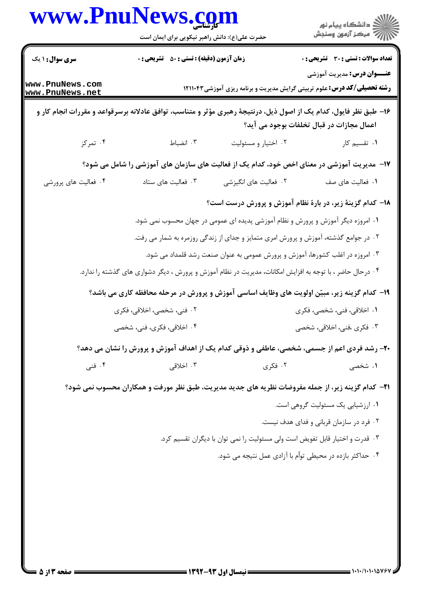|                                    | www.PnuNews.com<br>حضرت علی(ع): دانش راهبر نیکویی برای ایمان است                                          |                       | ِ دانشڪاه پيام نور<br>/√ مرڪز آزمون وسنڊش                                                                                                                       |
|------------------------------------|-----------------------------------------------------------------------------------------------------------|-----------------------|-----------------------------------------------------------------------------------------------------------------------------------------------------------------|
| <b>سری سوال :</b> ۱ یک             | <b>زمان آزمون (دقیقه) : تستی : 80 ٪ تشریحی : 0</b>                                                        |                       | تعداد سوالات : تستي : 30 - تشريحي : 0                                                                                                                           |
| www.PnuNews.com<br>www.PnuNews.net |                                                                                                           |                       | <b>عنـــوان درس:</b> مدیریت آموزشی<br><b>رشته تحصیلی/کد درس:</b> علوم تربیتی گرایش مدیریت و برنامه ریزی آموزشی1۲۱۱۰۴۳                                           |
|                                    |                                                                                                           |                       | ۱۶– طبق نظر فایول، کدام یک از اصول ذیل، درنتیجهٔ رهبری مؤثر و متناسب، توافق عادلانه برسرقواعد و مقررات انجام کار و<br>اعمال مجازات در قبال تخلفات بوجود می آید؟ |
| ۰۴ تمرکز                           | ۰۳ انضباط                                                                                                 | ۰۲ اختیار و مسئولیت   | ۰۱ تقسیم کار                                                                                                                                                    |
|                                    |                                                                                                           |                       | ۱۷– مدیریت آموزشی در معنای اخص خود، کدام یک از فعالیت های سازمان های آموزشی را شامل می شود؟                                                                     |
| ۰۴ فعالیت های پرورشی               | ۰۳ فعالیت های ستاد                                                                                        | ۲. فعالیت های انگیزشی | ٠١. فعاليت هاى صف                                                                                                                                               |
|                                    |                                                                                                           |                       | ۱۸– کدام گزینهٔ زیر، در بارهٔ نظام آموزش و پرورش درست است؟                                                                                                      |
|                                    |                                                                                                           |                       | ۰۱ امروزه دیگر آموزش و پرورش و نظام آموزشی پدیده ای عمومی در جهان محسوب نمی شود.                                                                                |
|                                    |                                                                                                           |                       | ۰۲ در جوامع گذشته، آموزش و پرورش امری متمایز و جدای از زندگی روزمره به شمار می رفت.                                                                             |
|                                    |                                                                                                           |                       | ۰۳ امروزه در اغلب کشورها، آموزش و پرورش عمومی به عنوان صنعت رشد قلمداد می شود.                                                                                  |
|                                    | ۰۴ درحال حاضر ، با توجه به افزایش امکانات، مدیریت در نظام آموزش و پرورش ، دیگر دشواری های گذشته را ندارد. |                       |                                                                                                                                                                 |
|                                    |                                                                                                           |                       | ۱۹- کدام گزینه زیر، مبیّن اولویت های وظایف اساسی آموزش و پرورش در مرحله محافظه کاری می باشد؟                                                                    |
|                                    | ۰۲ فنی، شخصی، اخلاقی، فکری                                                                                |                       | ۰۱ اخلاقی، فنی، شخصی، فکری                                                                                                                                      |
|                                    | ۰۴ اخلاقی، فکری، فنی، شخصی                                                                                |                       | ۰۳ فکری ،فنی، اخلاقی، شخصی                                                                                                                                      |
|                                    |                                                                                                           |                       | ۲۰- رشد فردی اعم از جسمی، شخصی، عاطفی و ذوقی کدام یک از اهداف آموزش و پرورش را نشان می دهد؟                                                                     |
| ۰۴ فنی                             | ۰۳ اخلاقی                                                                                                 | ۰۲ فکری               | ۰۱ شخصی                                                                                                                                                         |
|                                    |                                                                                                           |                       | <b>۲۱</b> – کدام گزینه زیر، از جمله مفروضات نظریه های جدید مدیریت، طبق نظر مورفت و همکاران محسوب نمی شود؟                                                       |
|                                    |                                                                                                           |                       | ۰۱ ارزشیابی یک مسئولیت گروهی است.                                                                                                                               |
|                                    |                                                                                                           |                       | ۰۲ فرد در سازمان قربانی و فدای هدف نیست.                                                                                                                        |
|                                    |                                                                                                           |                       | ۰۳ قدرت و اختیار قابل تفویض است ولی مسئولیت را نمی توان با دیگران تقسیم کرد.                                                                                    |
|                                    |                                                                                                           |                       | ۰۴ حداکثر بازده در محیطی توآم با آزادی عمل نتیجه می شود.                                                                                                        |
|                                    |                                                                                                           |                       |                                                                                                                                                                 |
|                                    |                                                                                                           |                       |                                                                                                                                                                 |
|                                    |                                                                                                           |                       |                                                                                                                                                                 |
|                                    |                                                                                                           |                       |                                                                                                                                                                 |

 $\blacksquare$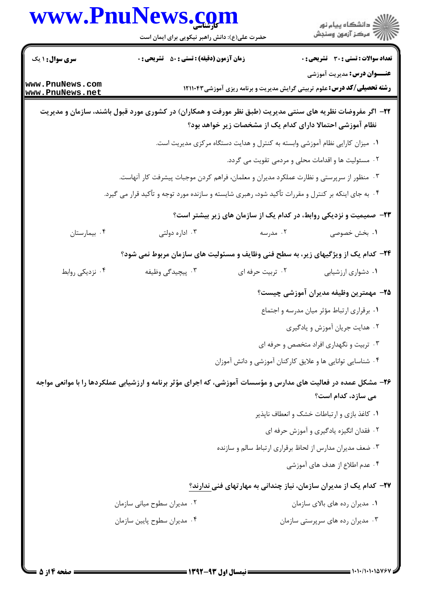|                                    | www.PnuNews.com<br>حضرت علی(ع): دانش راهبر نیکویی برای ایمان است                                               |                                                                              | ڪ دانشڪاه پيام نور<br>ر∕⊂ مرڪز آزمون وسنڊش                                                                            |
|------------------------------------|----------------------------------------------------------------------------------------------------------------|------------------------------------------------------------------------------|-----------------------------------------------------------------------------------------------------------------------|
| <b>سری سوال : ۱ یک</b>             | <b>زمان آزمون (دقیقه) : تستی : 50 ٪ تشریحی : 0</b>                                                             |                                                                              | <b>تعداد سوالات : تستی : 30 ٪ تشریحی : 0</b>                                                                          |
| www.PnuNews.com<br>www.PnuNews.net |                                                                                                                |                                                                              | <b>عنـــوان درس:</b> مدیریت آموزشی<br><b>رشته تحصیلی/کد درس:</b> علوم تربیتی گرایش مدیریت و برنامه ریزی آموزشی1۲۱۱۰۴۳ |
|                                    | ۲۲- اگر مفروضات نظریه های سنتی مدیریت (طبق نظر مورفت و همکاران) در کشوری مورد قبول باشند، سازمان و مدیریت      | نظام آموزشی احتمالا دارای کدام یک از مشخصات زیر خواهد بود؟                   |                                                                                                                       |
|                                    |                                                                                                                | ۰۱ میزان کارایی نظام آموزشی وابسته به کنترل و هدایت دستگاه مرکزی مدیریت است. |                                                                                                                       |
|                                    |                                                                                                                |                                                                              | ۰۲ مسئولیت ها و اقدامات محلی و مردمی تقویت می گردد.                                                                   |
|                                    | ۰۳ منظور از سرپرستی و نظارت عملکرد مدیران و معلمان، فراهم کردن موجبات پیشرفت کار آنهاست.                       |                                                                              |                                                                                                                       |
|                                    | ۰۴ به جای اینکه بر کنترل و مقررات تآکید شود، رهبری شایسته و سازنده مورد توجه و تآکید قرار می گیرد.             |                                                                              |                                                                                                                       |
|                                    |                                                                                                                |                                                                              | ۲۳- صمیمیت و نزدیکی روابط، در کدام یک از سازمان های زیر بیشتر است؟                                                    |
| ۰۴ بیمارستان                       | ۰۳ اداره دولتی                                                                                                 | ۰۲ مدرسه                                                                     | ۰۱ بخش خصوصی                                                                                                          |
|                                    | ۲۴- کدام یک از ویژگیهای زیر، به سطح فنی وظایف و مسئولیت های سازمان مربوط نمی شود؟                              |                                                                              |                                                                                                                       |
| ۰۴ نزدیکی روابط                    | ۰۳ پیچیدگی وظیفه                                                                                               | ۰۲ تربیت حرفه ای                                                             | ۰۱ دشواری ارزشیابی                                                                                                    |
|                                    |                                                                                                                |                                                                              | ۲۵– مهمترین وظیفه مدیران آموزشی چیست؟                                                                                 |
|                                    |                                                                                                                |                                                                              | ٠١ برقراري ارتباط مؤثر ميان مدرسه و اجتماع                                                                            |
|                                    |                                                                                                                |                                                                              | ۰۲ هدایت جریان آموزش و یادگیری                                                                                        |
|                                    |                                                                                                                |                                                                              | ۰۳ تربیت و نگهداری افراد متخصص و حرفه ای                                                                              |
|                                    |                                                                                                                |                                                                              | ۰۴ شناسایی توانایی ها و علایق کارکنان آموزشی و دانش آموزان                                                            |
|                                    | ۲۶- مشکل عمده در فعالیت های مدارس و مؤسسات آموزشی، که اجرای مؤثر برنامه و ارزشیابی عملکردها را با موانعی مواجه |                                                                              | می سازد، کدام است؟                                                                                                    |
|                                    |                                                                                                                |                                                                              | ۰۱ کاغذ بازی و ارتباطات خشک و انعطاف ناپذیر                                                                           |
|                                    |                                                                                                                |                                                                              | ٢. فقدان انگيزه يادگيري و آموزش حرفه اي                                                                               |
|                                    |                                                                                                                |                                                                              | ۰۳ ضعف مدیران مدارس از لحاظ برقراری ارتباط سالم و سازنده                                                              |
|                                    |                                                                                                                |                                                                              | ۰۴ عدم اطلاع از هدف های آموزشی                                                                                        |
|                                    |                                                                                                                |                                                                              | <b>۲۷</b> – کدام یک از مدیران سازمان، نیاز چندانی به مهارتهای فنی ندارند؟                                             |
|                                    | ۰۲ مدیران سطوح میانی سازمان                                                                                    |                                                                              | ٠١ مديران رده هاي بالاي سازمان                                                                                        |
|                                    | ۰۴ مدیران سطوح پایین سازمان                                                                                    |                                                                              | ۰۳ مدیران رده های سرپرستی سازمان                                                                                      |